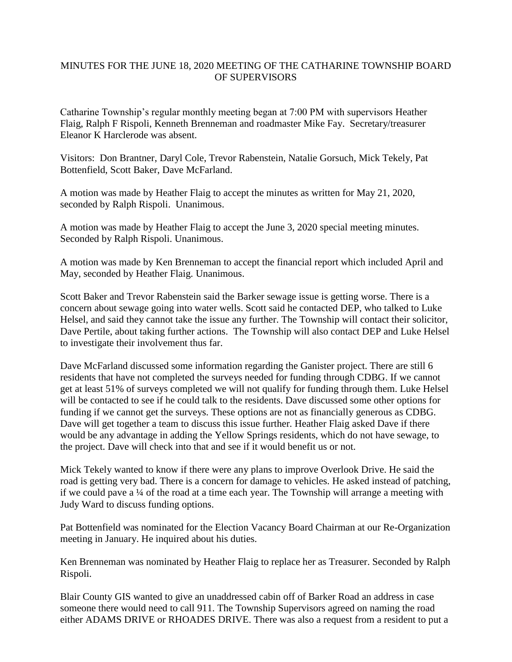## MINUTES FOR THE JUNE 18, 2020 MEETING OF THE CATHARINE TOWNSHIP BOARD OF SUPERVISORS

Catharine Township's regular monthly meeting began at 7:00 PM with supervisors Heather Flaig, Ralph F Rispoli, Kenneth Brenneman and roadmaster Mike Fay. Secretary/treasurer Eleanor K Harclerode was absent.

Visitors: Don Brantner, Daryl Cole, Trevor Rabenstein, Natalie Gorsuch, Mick Tekely, Pat Bottenfield, Scott Baker, Dave McFarland.

A motion was made by Heather Flaig to accept the minutes as written for May 21, 2020, seconded by Ralph Rispoli. Unanimous.

A motion was made by Heather Flaig to accept the June 3, 2020 special meeting minutes. Seconded by Ralph Rispoli. Unanimous.

A motion was made by Ken Brenneman to accept the financial report which included April and May, seconded by Heather Flaig. Unanimous.

Scott Baker and Trevor Rabenstein said the Barker sewage issue is getting worse. There is a concern about sewage going into water wells. Scott said he contacted DEP, who talked to Luke Helsel, and said they cannot take the issue any further. The Township will contact their solicitor, Dave Pertile, about taking further actions. The Township will also contact DEP and Luke Helsel to investigate their involvement thus far.

Dave McFarland discussed some information regarding the Ganister project. There are still 6 residents that have not completed the surveys needed for funding through CDBG. If we cannot get at least 51% of surveys completed we will not qualify for funding through them. Luke Helsel will be contacted to see if he could talk to the residents. Dave discussed some other options for funding if we cannot get the surveys. These options are not as financially generous as CDBG. Dave will get together a team to discuss this issue further. Heather Flaig asked Dave if there would be any advantage in adding the Yellow Springs residents, which do not have sewage, to the project. Dave will check into that and see if it would benefit us or not.

Mick Tekely wanted to know if there were any plans to improve Overlook Drive. He said the road is getting very bad. There is a concern for damage to vehicles. He asked instead of patching, if we could pave a ¼ of the road at a time each year. The Township will arrange a meeting with Judy Ward to discuss funding options.

Pat Bottenfield was nominated for the Election Vacancy Board Chairman at our Re-Organization meeting in January. He inquired about his duties.

Ken Brenneman was nominated by Heather Flaig to replace her as Treasurer. Seconded by Ralph Rispoli.

Blair County GIS wanted to give an unaddressed cabin off of Barker Road an address in case someone there would need to call 911. The Township Supervisors agreed on naming the road either ADAMS DRIVE or RHOADES DRIVE. There was also a request from a resident to put a